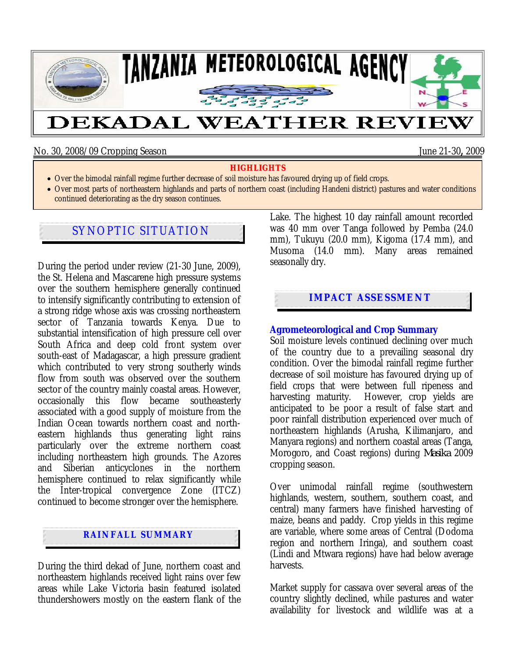

No. 30, 2008/09 Cropping Season June 21-30**,** 2009

#### **HIGHLIGHTS**

- Over the bimodal rainfall regime further decrease of soil moisture has favoured drying up of field crops.
- Over most parts of northeastern highlands and parts of northern coast (including Handeni district) pastures and water conditions continued deteriorating as the dry season continues.

# SYNOPTIC SITUATION

During the period under review (21-30 June, 2009), the St. Helena and Mascarene high pressure systems over the southern hemisphere generally continued to intensify significantly contributing to extension of a strong ridge whose axis was crossing northeastern sector of Tanzania towards Kenya. Due to substantial intensification of high pressure cell over South Africa and deep cold front system over south-east of Madagascar, a high pressure gradient which contributed to very strong southerly winds flow from south was observed over the southern sector of the country mainly coastal areas. However, occasionally this flow became southeasterly associated with a good supply of moisture from the Indian Ocean towards northern coast and northeastern highlands thus generating light rains particularly over the extreme northern coast including northeastern high grounds. The Azores and Siberian anticyclones in the northern hemisphere continued to relax significantly while the Inter-tropical convergence Zone (ITCZ) continued to become stronger over the hemisphere.

# **RAINFALL SUMMARY**

During the third dekad of June, northern coast and northeastern highlands received light rains over few areas while Lake Victoria basin featured isolated thundershowers mostly on the eastern flank of the Lake. The highest 10 day rainfall amount recorded was 40 mm over Tanga followed by Pemba (24.0 mm), Tukuyu (20.0 mm), Kigoma (17.4 mm), and Musoma (14.0 mm). Many areas remained seasonally dry.

### **IMPACT ASSESSMENT**

#### **Agrometeorological and Crop Summary**

Soil moisture levels continued declining over much of the country due to a prevailing seasonal dry condition. Over the bimodal rainfall regime further decrease of soil moisture has favoured drying up of field crops that were between full ripeness and harvesting maturity. However, crop yields are anticipated to be poor a result of false start and poor rainfall distribution experienced over much of northeastern highlands (Arusha, Kilimanjaro, and Manyara regions) and northern coastal areas (Tanga, Morogoro, and Coast regions) during *Masika* 2009 cropping season.

Over unimodal rainfall regime (southwestern highlands, western, southern, southern coast, and central) many farmers have finished harvesting of maize, beans and paddy. Crop yields in this regime are variable, where some areas of Central (Dodoma region and northern Iringa), and southern coast (Lindi and Mtwara regions) have had below average harvests.

Market supply for cassava over several areas of the country slightly declined, while pastures and water availability for livestock and wildlife was at a